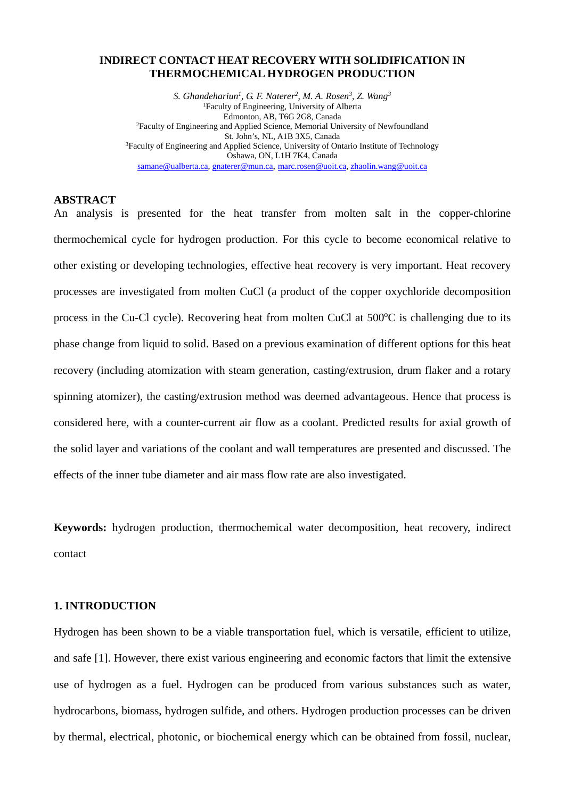# **INDIRECT CONTACT HEAT RECOVERY WITH SOLIDIFICATION IN THERMOCHEMICAL HYDROGEN PRODUCTION**

*S. Ghandehariun1 , G. F. Naterer2 , M. A. Rosen3 , Z. Wang3* 1Faculty of Engineering, University of Alberta Edmonton, AB, T6G 2G8, Canada 2Faculty of Engineering and Applied Science, Memorial University of Newfoundland St. John's, NL, A1B 3X5, Canada <sup>3</sup>Faculty of Engineering and Applied Science, University of Ontario Institute of Technology Oshawa, ON, L1H 7K4, Canada [samane@ualberta.ca,](mailto:samane.ghandehariun@uoit.ca) [gnaterer@mun.ca,](mailto:gnaterer@mun.ca) [marc.rosen@uoit.ca,](mailto:marc.rosen@uoit.ca) [zhaolin.wang@uoit.ca](mailto:zhaolin.wang@uoit.ca)

#### **ABSTRACT**

An analysis is presented for the heat transfer from molten salt in the copper-chlorine thermochemical cycle for hydrogen production. For this cycle to become economical relative to other existing or developing technologies, effective heat recovery is very important. Heat recovery processes are investigated from molten CuCl (a product of the copper oxychloride decomposition process in the Cu-Cl cycle). Recovering heat from molten CuCl at 500°C is challenging due to its phase change from liquid to solid. Based on a previous examination of different options for this heat recovery (including atomization with steam generation, casting/extrusion, drum flaker and a rotary spinning atomizer), the casting/extrusion method was deemed advantageous. Hence that process is considered here, with a counter-current air flow as a coolant. Predicted results for axial growth of the solid layer and variations of the coolant and wall temperatures are presented and discussed. The effects of the inner tube diameter and air mass flow rate are also investigated.

**Keywords:** hydrogen production, thermochemical water decomposition, heat recovery, indirect contact

### **1. INTRODUCTION**

Hydrogen has been shown to be a viable transportation fuel, which is versatile, efficient to utilize, and safe [1]. However, there exist various engineering and economic factors that limit the extensive use of hydrogen as a fuel. Hydrogen can be produced from various substances such as water, hydrocarbons, biomass, hydrogen sulfide, and others. Hydrogen production processes can be driven by thermal, electrical, photonic, or biochemical energy which can be obtained from fossil, nuclear,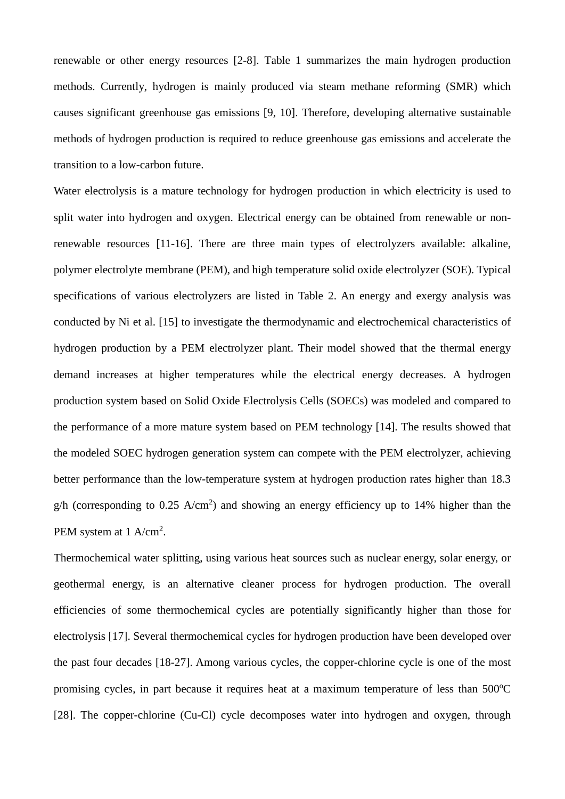renewable or other energy resources [2-8]. Table 1 summarizes the main hydrogen production methods. Currently, hydrogen is mainly produced via steam methane reforming (SMR) which causes significant greenhouse gas emissions [9, 10]. Therefore, developing alternative sustainable methods of hydrogen production is required to reduce greenhouse gas emissions and accelerate the transition to a low-carbon future.

Water electrolysis is a mature technology for hydrogen production in which electricity is used to split water into hydrogen and oxygen. Electrical energy can be obtained from renewable or nonrenewable resources [11-16]. There are three main types of electrolyzers available: alkaline, polymer electrolyte membrane (PEM), and high temperature solid oxide electrolyzer (SOE). Typical specifications of various electrolyzers are listed in Table 2. An energy and exergy analysis was conducted by Ni et al. [15] to investigate the thermodynamic and electrochemical characteristics of hydrogen production by a PEM electrolyzer plant. Their model showed that the thermal energy demand increases at higher temperatures while the electrical energy decreases. A hydrogen production system based on Solid Oxide Electrolysis Cells (SOECs) was modeled and compared to the performance of a more mature system based on PEM technology [14]. The results showed that the modeled SOEC hydrogen generation system can compete with the PEM electrolyzer, achieving better performance than the low-temperature system at hydrogen production rates higher than 18.3  $g/h$  (corresponding to 0.25 A/cm<sup>2</sup>) and showing an energy efficiency up to 14% higher than the PEM system at  $1 \text{ A/cm}^2$ .

Thermochemical water splitting, using various heat sources such as nuclear energy, solar energy, or geothermal energy, is an alternative cleaner process for hydrogen production. The overall efficiencies of some thermochemical cycles are potentially significantly higher than those for electrolysis [17]. Several thermochemical cycles for hydrogen production have been developed over the past four decades [18-27]. Among various cycles, the copper-chlorine cycle is one of the most promising cycles, in part because it requires heat at a maximum temperature of less than 500°C [28]. The copper-chlorine (Cu-Cl) cycle decomposes water into hydrogen and oxygen, through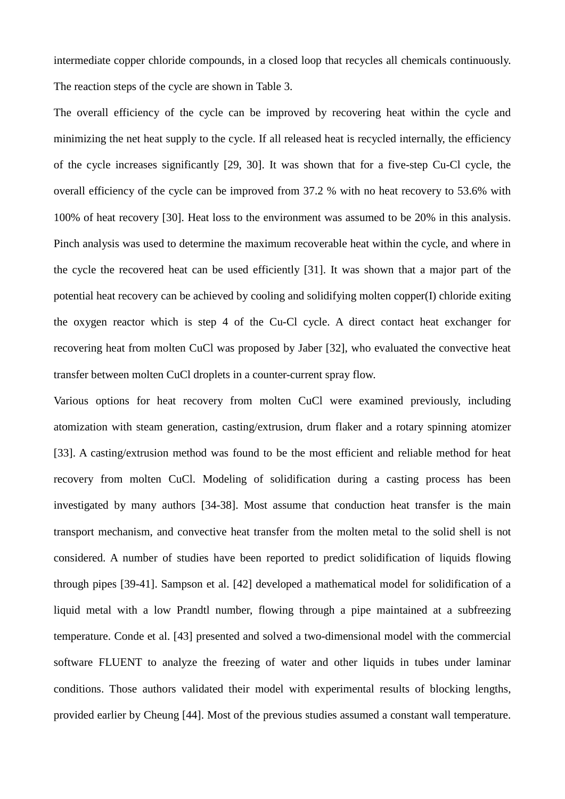intermediate copper chloride compounds, in a closed loop that recycles all chemicals continuously. The reaction steps of the cycle are shown in Table 3.

The overall efficiency of the cycle can be improved by recovering heat within the cycle and minimizing the net heat supply to the cycle. If all released heat is recycled internally, the efficiency of the cycle increases significantly [29, 30]. It was shown that for a five-step Cu-Cl cycle, the overall efficiency of the cycle can be improved from 37.2 % with no heat recovery to 53.6% with 100% of heat recovery [30]. Heat loss to the environment was assumed to be 20% in this analysis. Pinch analysis was used to determine the maximum recoverable heat within the cycle, and where in the cycle the recovered heat can be used efficiently [31]. It was shown that a major part of the potential heat recovery can be achieved by cooling and solidifying molten copper(I) chloride exiting the oxygen reactor which is step 4 of the Cu-Cl cycle. A direct contact heat exchanger for recovering heat from molten CuCl was proposed by Jaber [32], who evaluated the convective heat transfer between molten CuCl droplets in a counter-current spray flow.

Various options for heat recovery from molten CuCl were examined previously, including atomization with steam generation, casting/extrusion, drum flaker and a rotary spinning atomizer [33]. A casting/extrusion method was found to be the most efficient and reliable method for heat recovery from molten CuCl. Modeling of solidification during a casting process has been investigated by many authors [34-38]. Most assume that conduction heat transfer is the main transport mechanism, and convective heat transfer from the molten metal to the solid shell is not considered. A number of studies have been reported to predict solidification of liquids flowing through pipes [39-41]. Sampson et al. [42] developed a mathematical model for solidification of a liquid metal with a low Prandtl number, flowing through a pipe maintained at a subfreezing temperature. Conde et al. [43] presented and solved a two-dimensional model with the commercial software FLUENT to analyze the freezing of water and other liquids in tubes under laminar conditions. Those authors validated their model with experimental results of blocking lengths, provided earlier by Cheung [44]. Most of the previous studies assumed a constant wall temperature.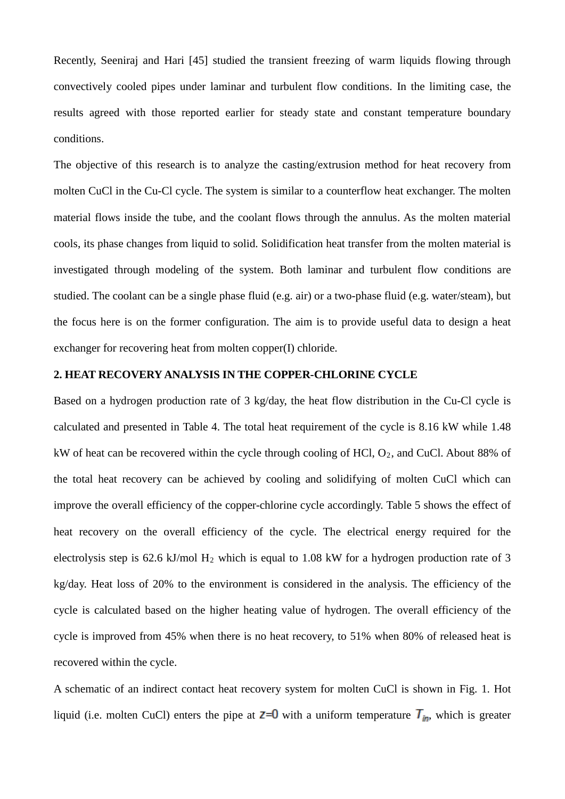Recently, Seeniraj and Hari [45] studied the transient freezing of warm liquids flowing through convectively cooled pipes under laminar and turbulent flow conditions. In the limiting case, the results agreed with those reported earlier for steady state and constant temperature boundary conditions.

The objective of this research is to analyze the casting/extrusion method for heat recovery from molten CuCl in the Cu-Cl cycle. The system is similar to a counterflow heat exchanger. The molten material flows inside the tube, and the coolant flows through the annulus. As the molten material cools, its phase changes from liquid to solid. Solidification heat transfer from the molten material is investigated through modeling of the system. Both laminar and turbulent flow conditions are studied. The coolant can be a single phase fluid (e.g. air) or a two-phase fluid (e.g. water/steam), but the focus here is on the former configuration. The aim is to provide useful data to design a heat exchanger for recovering heat from molten copper(I) chloride.

# **2. HEAT RECOVERY ANALYSIS IN THE COPPER-CHLORINE CYCLE**

Based on a hydrogen production rate of 3 kg/day, the heat flow distribution in the Cu-Cl cycle is calculated and presented in Table 4. The total heat requirement of the cycle is 8.16 kW while 1.48 kW of heat can be recovered within the cycle through cooling of HCl,  $O_2$ , and CuCl. About 88% of the total heat recovery can be achieved by cooling and solidifying of molten CuCl which can improve the overall efficiency of the copper-chlorine cycle accordingly. Table 5 shows the effect of heat recovery on the overall efficiency of the cycle. The electrical energy required for the electrolysis step is 62.6 kJ/mol H2 which is equal to 1.08 kW for a hydrogen production rate of 3 kg/day. Heat loss of 20% to the environment is considered in the analysis. The efficiency of the cycle is calculated based on the higher heating value of hydrogen. The overall efficiency of the cycle is improved from 45% when there is no heat recovery, to 51% when 80% of released heat is recovered within the cycle.

A schematic of an indirect contact heat recovery system for molten CuCl is shown in Fig. 1. Hot liquid (i.e. molten CuCl) enters the pipe at  $\mathbb{Z}=0$  with a uniform temperature  $\mathcal{T}_{in}$ , which is greater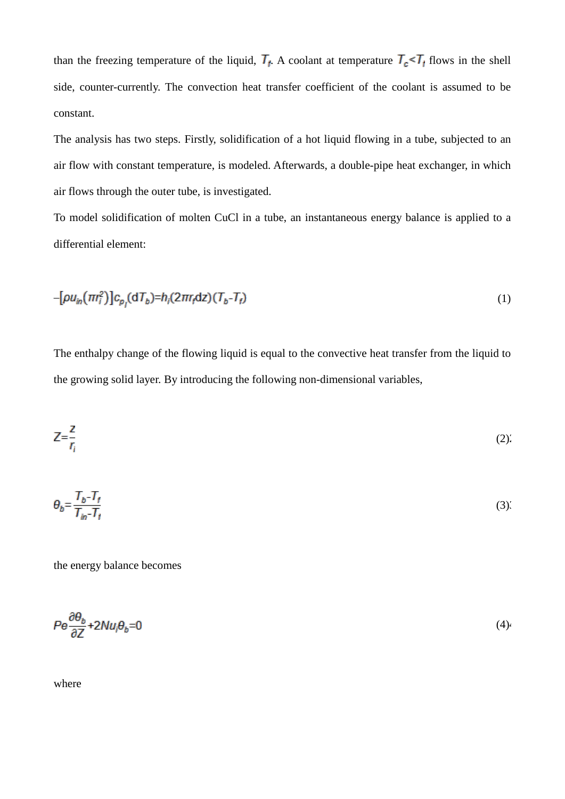than the freezing temperature of the liquid,  $T_f$ . A coolant at temperature  $T_c \leq T_f$  flows in the shell side, counter-currently. The convection heat transfer coefficient of the coolant is assumed to be constant.

The analysis has two steps. Firstly, solidification of a hot liquid flowing in a tube, subjected to an air flow with constant temperature, is modeled. Afterwards, a double-pipe heat exchanger, in which air flows through the outer tube, is investigated.

To model solidification of molten CuCl in a tube, an instantaneous energy balance is applied to a differential element:

$$
-[\rho u_{in}(\pi r_i^2)]c_{p_i}(\mathrm{d}T_b)=h_i(2\pi r_i\mathrm{d}z)(T_b-T_f) \tag{1}
$$

The enthalpy change of the flowing liquid is equal to the convective heat transfer from the liquid to the growing solid layer. By introducing the following non-dimensional variables,

$$
Z = \frac{Z}{r_i} \tag{2}
$$

$$
\theta_b = \frac{T_b - T_f}{T_{in} - T_f} \tag{3}
$$

the energy balance becomes

$$
Pe \frac{\partial \theta_b}{\partial Z} + 2Nu_i\theta_b = 0 \tag{4}
$$

where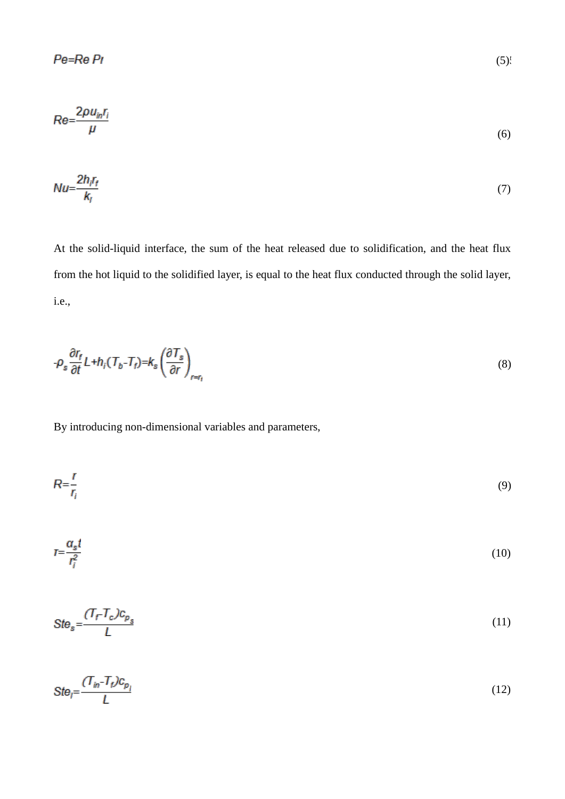$$
Re = \frac{2\rho u_{in} r_i}{\mu} \tag{6}
$$

$$
Nu = \frac{2h_i r_f}{k_i} \tag{7}
$$

At the solid-liquid interface, the sum of the heat released due to solidification, and the heat flux from the hot liquid to the solidified layer, is equal to the heat flux conducted through the solid layer, i.e.,

$$
-\rho_s \frac{\partial r_f}{\partial t} L + h_i (T_b - T_f) = k_s \left(\frac{\partial T_s}{\partial r}\right)_{r=r_t}
$$
\n(8)

By introducing non-dimensional variables and parameters,

$$
R = \frac{r}{r_i} \tag{9}
$$

$$
T = \frac{a_s t}{r_i^2} \tag{10}
$$

$$
Ste_s = \frac{(T_f - T_c)c_{p_s}}{L} \tag{11}
$$

$$
Ste_j = \frac{(T_{in} - T_t) c_{p_j}}{L} \tag{12}
$$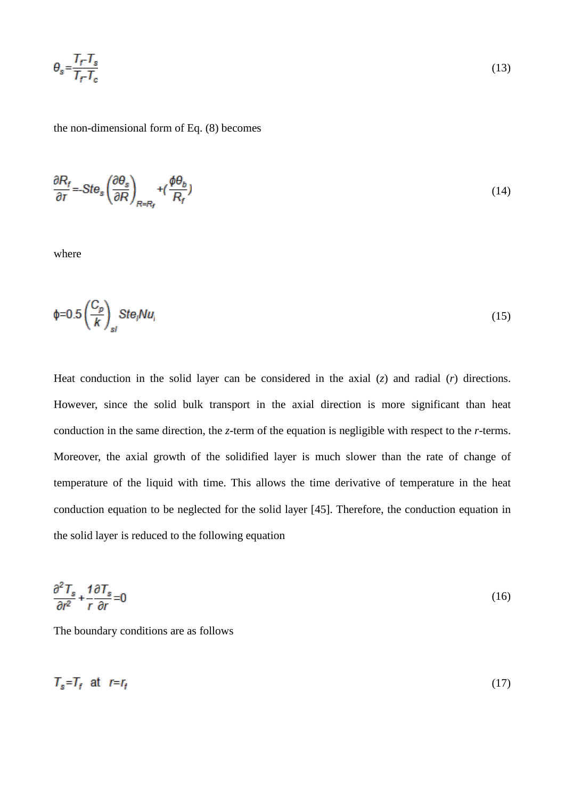$$
\theta_s = \frac{T_f - T_s}{T_f - T_c}
$$

the non-dimensional form of Eq. (8) becomes

$$
\frac{\partial R_f}{\partial r} = Ste_s \left(\frac{\partial \theta_s}{\partial R}\right)_{R=R_f} + \left(\frac{\phi \theta_b}{R_f}\right) \tag{14}
$$

where

$$
\phi = 0.5 \left( \frac{C_p}{k} \right)_{sl} Ste_l Nu_i \tag{15}
$$

Heat conduction in the solid layer can be considered in the axial (*z*) and radial (*r*) directions. However, since the solid bulk transport in the axial direction is more significant than heat conduction in the same direction, the *z*-term of the equation is negligible with respect to the *r*-terms. Moreover, the axial growth of the solidified layer is much slower than the rate of change of temperature of the liquid with time. This allows the time derivative of temperature in the heat conduction equation to be neglected for the solid layer [45]. Therefore, the conduction equation in the solid layer is reduced to the following equation

$$
\frac{\partial^2 T_s}{\partial r^2} + \frac{1}{r} \frac{\partial T_s}{\partial r} = 0 \tag{16}
$$

The boundary conditions are as follows

$$
T_s = T_f \quad \text{at} \quad r = r_t \tag{17}
$$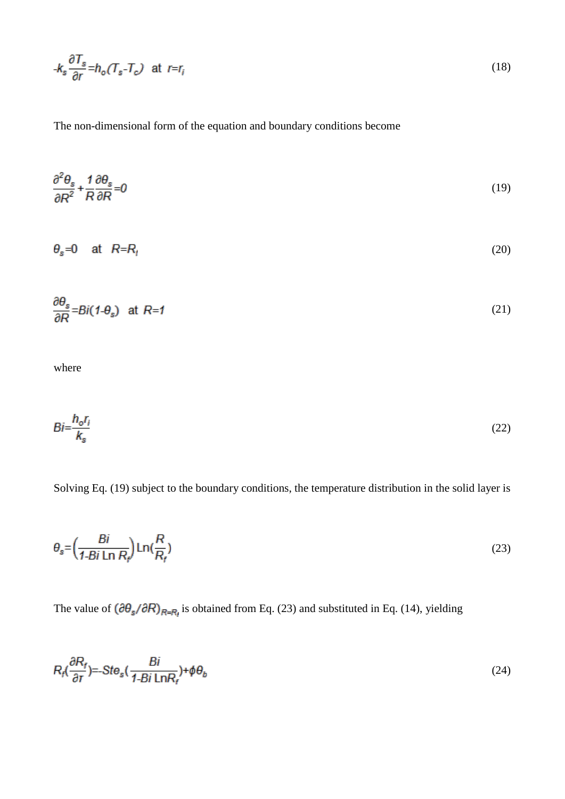$$
-k_s \frac{\partial T_s}{\partial r} = h_o (T_s - T_c) \quad \text{at } r = r_i
$$
\n<sup>(18)</sup>

The non-dimensional form of the equation and boundary conditions become

$$
\frac{\partial^2 \theta_s}{\partial R^2} + \frac{1}{R} \frac{\partial \theta_s}{\partial R} = 0 \tag{19}
$$

$$
\theta_{\rm s} = 0 \quad \text{at} \quad R = R_t \tag{20}
$$

$$
\frac{\partial \theta_s}{\partial R} = Bi(1 - \theta_s) \quad \text{at } R = 1 \tag{21}
$$

where

$$
Bi = \frac{h_o r_i}{k_s} \tag{22}
$$

Solving Eq. (19) subject to the boundary conditions, the temperature distribution in the solid layer is

$$
\theta_{\rm s} = \left(\frac{Bi}{1 - Bi \ln R_{\rm r}}\right) \ln\left(\frac{R}{R_{\rm r}}\right) \tag{23}
$$

The value of  $(\partial \theta_s / \partial R)_{R=\mathbb{F}_q}$  is obtained from Eq. (23) and substituted in Eq. (14), yielding

$$
R_f\left(\frac{\partial R_f}{\partial r}\right) = Ste_s\left(\frac{Bi}{1 - Bi\ln R_f}\right) + \phi\theta_b\tag{24}
$$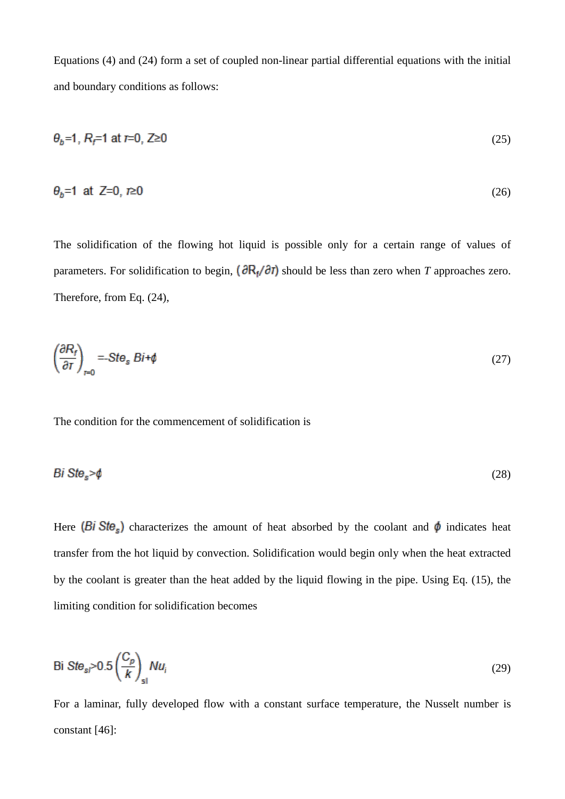Equations (4) and (24) form a set of coupled non-linear partial differential equations with the initial and boundary conditions as follows:

$$
\theta_b = 1, R_f = 1 \text{ at } t = 0, Z \ge 0 \tag{25}
$$

$$
\theta_b = 1 \text{ at } Z = 0, r \ge 0 \tag{26}
$$

The solidification of the flowing hot liquid is possible only for a certain range of values of parameters. For solidification to begin,  $\left(\frac{\partial R_f}{\partial T}\right)$  should be less than zero when *T* approaches zero. Therefore, from Eq. (24),

$$
\left(\frac{\partial R_f}{\partial T}\right)_{r=0} = -Ste_s Bi + \phi\tag{27}
$$

The condition for the commencement of solidification is

$$
Bi Ste_s > \phi \tag{28}
$$

Here (Bi Ste<sub>s</sub>) characterizes the amount of heat absorbed by the coolant and  $\phi$  indicates heat transfer from the hot liquid by convection. Solidification would begin only when the heat extracted by the coolant is greater than the heat added by the liquid flowing in the pipe. Using Eq. (15), the limiting condition for solidification becomes

$$
\text{Bi Ste}_{\text{sl}} > 0.5 \left( \frac{C_p}{k} \right)_{\text{sl}} Nu_i \tag{29}
$$

For a laminar, fully developed flow with a constant surface temperature, the Nusselt number is constant [46]: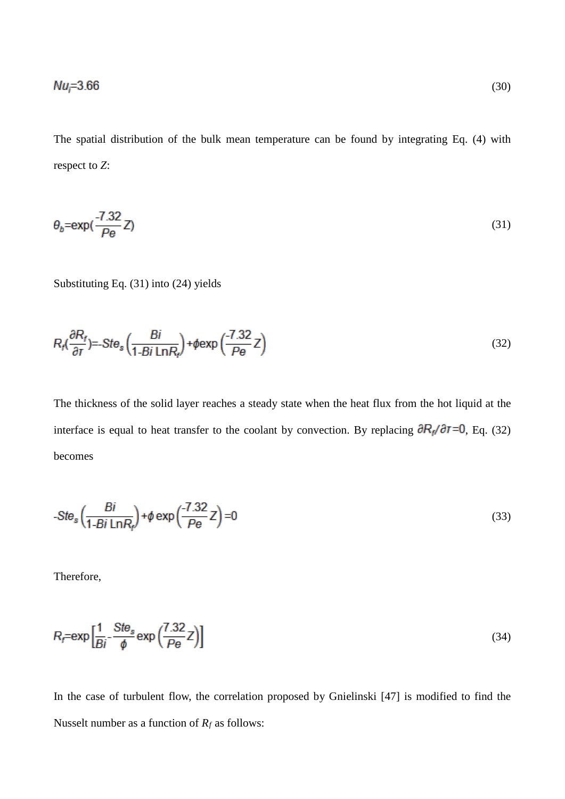The spatial distribution of the bulk mean temperature can be found by integrating Eq. (4) with respect to *Z*:

$$
\theta_b = \exp\left(\frac{-7.32}{P\theta}Z\right) \tag{31}
$$

Substituting Eq. (31) into (24) yields

$$
R_f\left(\frac{\partial R_f}{\partial r}\right) = -Ste_s\left(\frac{Bi}{1 - Bi\,\text{Ln}R_f}\right) + \phi \exp\left(\frac{-7.32}{Pe}\,Z\right) \tag{32}
$$

The thickness of the solid layer reaches a steady state when the heat flux from the hot liquid at the interface is equal to heat transfer to the coolant by convection. By replacing  $\partial R_{\vec{p}}/\partial \vec{r} = 0$ , Eq. (32) becomes

$$
-Ste_s\left(\frac{Bi}{1-Bi\ln R_f}\right) + \phi \exp\left(\frac{-7.32}{Pe}\right) = 0\tag{33}
$$

Therefore,

$$
R_f = \exp\left[\frac{1}{Bi} - \frac{Ste_s}{\phi} \exp\left(\frac{7.32}{Pe}\right)\right]
$$
\n(34)

In the case of turbulent flow, the correlation proposed by Gnielinski [47] is modified to find the Nusselt number as a function of  $R_f$  as follows: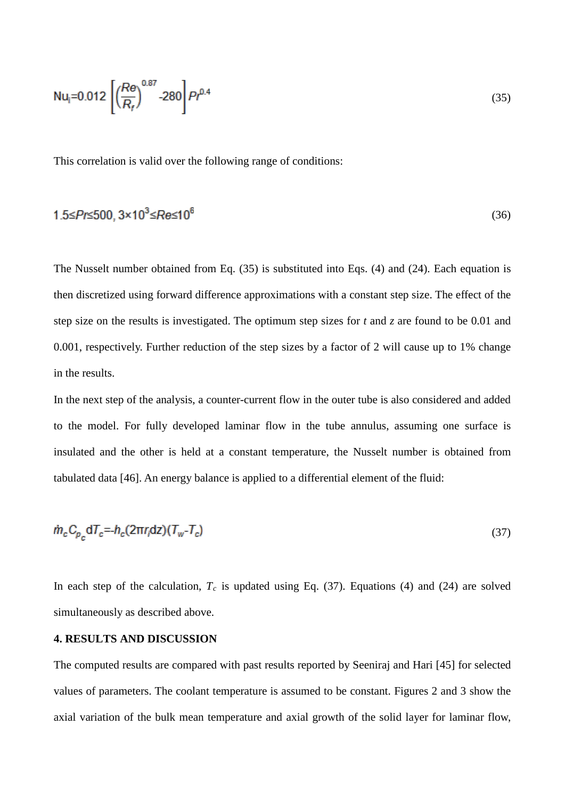$$
Nu_{i}=0.012\left[\left(\frac{Re}{R_{f}}\right)^{0.87}-280\right]Pr^{0.4}
$$
\n(35)

This correlation is valid over the following range of conditions:

$$
1.5 \le Pr \le 500, 3 \times 10^3 \le Re \le 10^6 \tag{36}
$$

The Nusselt number obtained from Eq. (35) is substituted into Eqs. (4) and (24). Each equation is then discretized using forward difference approximations with a constant step size. The effect of the step size on the results is investigated. The optimum step sizes for *t* and *z* are found to be 0.01 and 0.001, respectively. Further reduction of the step sizes by a factor of 2 will cause up to 1% change in the results.

In the next step of the analysis, a counter-current flow in the outer tube is also considered and added to the model. For fully developed laminar flow in the tube annulus, assuming one surface is insulated and the other is held at a constant temperature, the Nusselt number is obtained from tabulated data [46]. An energy balance is applied to a differential element of the fluid:

$$
\dot{m}_c C_{p_c} dT_c = h_c (2\pi r_i dz) (T_w - T_c) \tag{37}
$$

In each step of the calculation,  $T_c$  is updated using Eq. (37). Equations (4) and (24) are solved simultaneously as described above.

# **4. RESULTS AND DISCUSSION**

The computed results are compared with past results reported by Seeniraj and Hari [45] for selected values of parameters. The coolant temperature is assumed to be constant. Figures 2 and 3 show the axial variation of the bulk mean temperature and axial growth of the solid layer for laminar flow,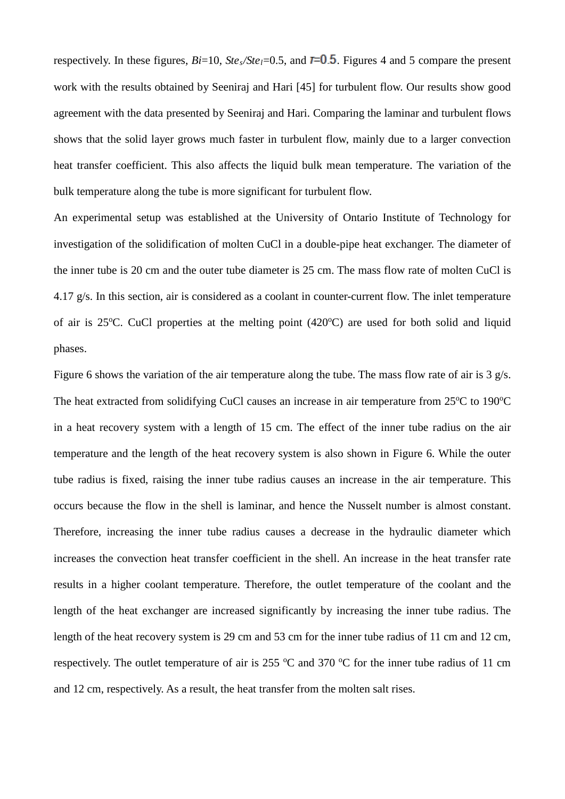respectively. In these figures,  $Bi=10$ ,  $Ste_s/Ste_l=0.5$ , and  $\bar{r}=0.5$ . Figures 4 and 5 compare the present work with the results obtained by Seeniraj and Hari [45] for turbulent flow. Our results show good agreement with the data presented by Seeniraj and Hari. Comparing the laminar and turbulent flows shows that the solid layer grows much faster in turbulent flow, mainly due to a larger convection heat transfer coefficient. This also affects the liquid bulk mean temperature. The variation of the bulk temperature along the tube is more significant for turbulent flow.

An experimental setup was established at the University of Ontario Institute of Technology for investigation of the solidification of molten CuCl in a double-pipe heat exchanger. The diameter of the inner tube is 20 cm and the outer tube diameter is 25 cm. The mass flow rate of molten CuCl is 4.17 g/s. In this section, air is considered as a coolant in counter-current flow. The inlet temperature of air is 25°C. CuCl properties at the melting point (420°C) are used for both solid and liquid phases.

Figure 6 shows the variation of the air temperature along the tube. The mass flow rate of air is 3 g/s. The heat extracted from solidifying CuCl causes an increase in air temperature from 25°C to 190°C in a heat recovery system with a length of 15 cm. The effect of the inner tube radius on the air temperature and the length of the heat recovery system is also shown in Figure 6. While the outer tube radius is fixed, raising the inner tube radius causes an increase in the air temperature. This occurs because the flow in the shell is laminar, and hence the Nusselt number is almost constant. Therefore, increasing the inner tube radius causes a decrease in the hydraulic diameter which increases the convection heat transfer coefficient in the shell. An increase in the heat transfer rate results in a higher coolant temperature. Therefore, the outlet temperature of the coolant and the length of the heat exchanger are increased significantly by increasing the inner tube radius. The length of the heat recovery system is 29 cm and 53 cm for the inner tube radius of 11 cm and 12 cm, respectively. The outlet temperature of air is 255  $\degree$ C and 370  $\degree$ C for the inner tube radius of 11 cm and 12 cm, respectively. As a result, the heat transfer from the molten salt rises.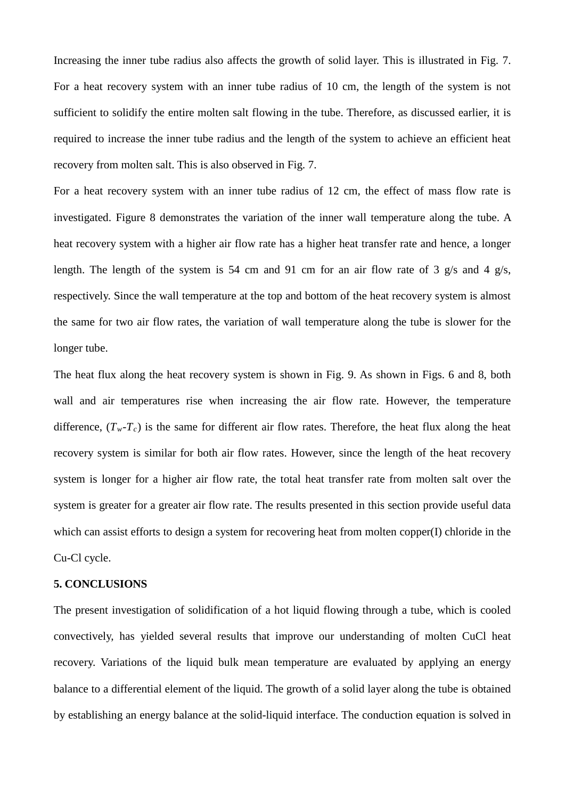Increasing the inner tube radius also affects the growth of solid layer. This is illustrated in Fig. 7. For a heat recovery system with an inner tube radius of 10 cm, the length of the system is not sufficient to solidify the entire molten salt flowing in the tube. Therefore, as discussed earlier, it is required to increase the inner tube radius and the length of the system to achieve an efficient heat recovery from molten salt. This is also observed in Fig. 7.

For a heat recovery system with an inner tube radius of 12 cm, the effect of mass flow rate is investigated. Figure 8 demonstrates the variation of the inner wall temperature along the tube. A heat recovery system with a higher air flow rate has a higher heat transfer rate and hence, a longer length. The length of the system is 54 cm and 91 cm for an air flow rate of 3 g/s and 4 g/s, respectively. Since the wall temperature at the top and bottom of the heat recovery system is almost the same for two air flow rates, the variation of wall temperature along the tube is slower for the longer tube.

The heat flux along the heat recovery system is shown in Fig. 9. As shown in Figs. 6 and 8, both wall and air temperatures rise when increasing the air flow rate. However, the temperature difference,  $(T_w - T_c)$  is the same for different air flow rates. Therefore, the heat flux along the heat recovery system is similar for both air flow rates. However, since the length of the heat recovery system is longer for a higher air flow rate, the total heat transfer rate from molten salt over the system is greater for a greater air flow rate. The results presented in this section provide useful data which can assist efforts to design a system for recovering heat from molten copper(I) chloride in the Cu-Cl cycle.

#### **5. CONCLUSIONS**

The present investigation of solidification of a hot liquid flowing through a tube, which is cooled convectively, has yielded several results that improve our understanding of molten CuCl heat recovery. Variations of the liquid bulk mean temperature are evaluated by applying an energy balance to a differential element of the liquid. The growth of a solid layer along the tube is obtained by establishing an energy balance at the solid-liquid interface. The conduction equation is solved in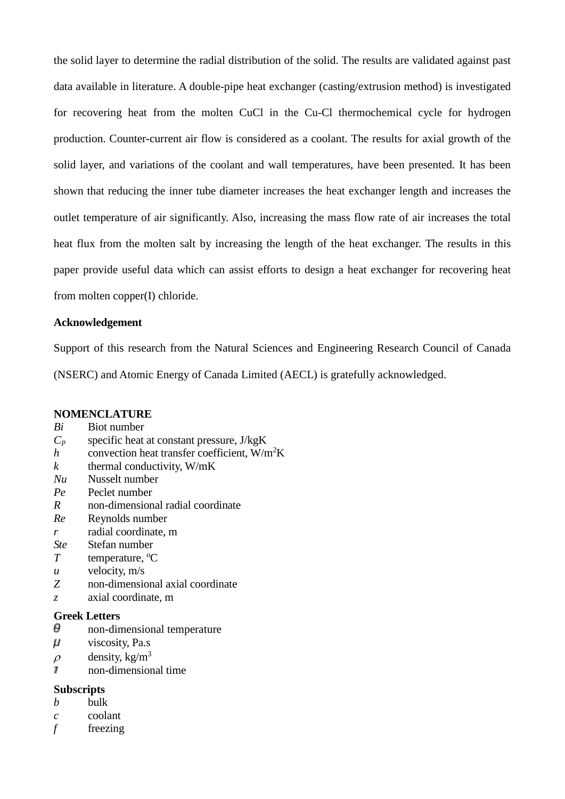the solid layer to determine the radial distribution of the solid. The results are validated against past data available in literature. A double-pipe heat exchanger (casting/extrusion method) is investigated for recovering heat from the molten CuCl in the Cu-Cl thermochemical cycle for hydrogen production. Counter-current air flow is considered as a coolant. The results for axial growth of the solid layer, and variations of the coolant and wall temperatures, have been presented. It has been shown that reducing the inner tube diameter increases the heat exchanger length and increases the outlet temperature of air significantly. Also, increasing the mass flow rate of air increases the total heat flux from the molten salt by increasing the length of the heat exchanger. The results in this paper provide useful data which can assist efforts to design a heat exchanger for recovering heat from molten copper(I) chloride.

### **Acknowledgement**

Support of this research from the Natural Sciences and Engineering Research Council of Canada (NSERC) and Atomic Energy of Canada Limited (AECL) is gratefully acknowledged.

### **NOMENCLATURE**

- *Bi* Biot number
- $C_p$  specific heat at constant pressure, J/kgK
- *h* convection heat transfer coefficient,  $W/m^2K$
- $k$  thermal conductivity,  $W/mK$
- *Nu* Nusselt number
- *Pe* Peclet number
- *R* non-dimensional radial coordinate
- *Re* Reynolds number
- *r* radial coordinate, m
- *Ste* Stefan number
- *T* temperature, <sup>o</sup>C
- *u* velocity, m/s
- *Z* non-dimensional axial coordinate
- *z* axial coordinate, m

### **Greek Letters**

- θ non-dimensional temperature
- $\mu$ viscosity, Pa.s
- $\rho$  density, kg/m<sup>3</sup>
- non-dimensional time

# **Subscripts**

- *b* bulk
- *c* coolant
- *f* freezing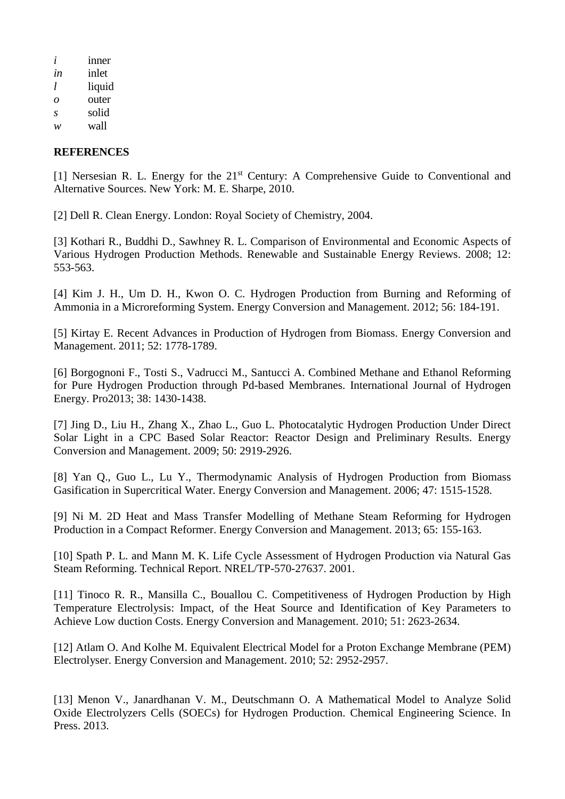| i  | <i>nner</i> |
|----|-------------|
| in | inlet       |
| 1  | liquid      |
| Ω  | outer       |
| S  | solid       |
| w  | wall        |

# **REFERENCES**

[1] Nersesian R. L. Energy for the 21<sup>st</sup> Century: A Comprehensive Guide to Conventional and Alternative Sources. New York: M. E. Sharpe, 2010.

[2] Dell R. Clean Energy. London: Royal Society of Chemistry, 2004.

[3] Kothari R., Buddhi D., Sawhney R. L. Comparison of Environmental and Economic Aspects of Various Hydrogen Production Methods. Renewable and Sustainable Energy Reviews. 2008; 12: 553-563.

[4] Kim J. H., Um D. H., Kwon O. C. Hydrogen Production from Burning and Reforming of Ammonia in a Microreforming System. Energy Conversion and Management. 2012; 56: 184-191.

[5] Kirtay E. Recent Advances in Production of Hydrogen from Biomass. Energy Conversion and Management. 2011; 52: 1778-1789.

[6] Borgognoni F., Tosti S., Vadrucci M., Santucci A. Combined Methane and Ethanol Reforming for Pure Hydrogen Production through Pd-based Membranes. International Journal of Hydrogen Energy. Pro2013; 38: 1430-1438.

[7] Jing D., Liu H., Zhang X., Zhao L., Guo L. Photocatalytic Hydrogen Production Under Direct Solar Light in a CPC Based Solar Reactor: Reactor Design and Preliminary Results. Energy Conversion and Management. 2009; 50: 2919-2926.

[8] Yan Q., Guo L., Lu Y., Thermodynamic Analysis of Hydrogen Production from Biomass Gasification in Supercritical Water. Energy Conversion and Management. 2006; 47: 1515-1528.

[9] Ni M. 2D Heat and Mass Transfer Modelling of Methane Steam Reforming for Hydrogen Production in a Compact Reformer. Energy Conversion and Management. 2013; 65: 155-163.

[10] Spath P. L. and Mann M. K. Life Cycle Assessment of Hydrogen Production via Natural Gas Steam Reforming. Technical Report. NREL/TP-570-27637. 2001.

[11] Tinoco R. R., Mansilla C., Bouallou C. Competitiveness of Hydrogen Production by High Temperature Electrolysis: Impact, of the Heat Source and Identification of Key Parameters to Achieve Low duction Costs. Energy Conversion and Management. 2010; 51: 2623-2634.

[12] Atlam O. And Kolhe M. Equivalent Electrical Model for a Proton Exchange Membrane (PEM) Electrolyser. Energy Conversion and Management. 2010; 52: 2952-2957.

[13] Menon V., Janardhanan V. M., Deutschmann O. A Mathematical Model to Analyze Solid Oxide Electrolyzers Cells (SOECs) for Hydrogen Production. Chemical Engineering Science. In Press. 2013.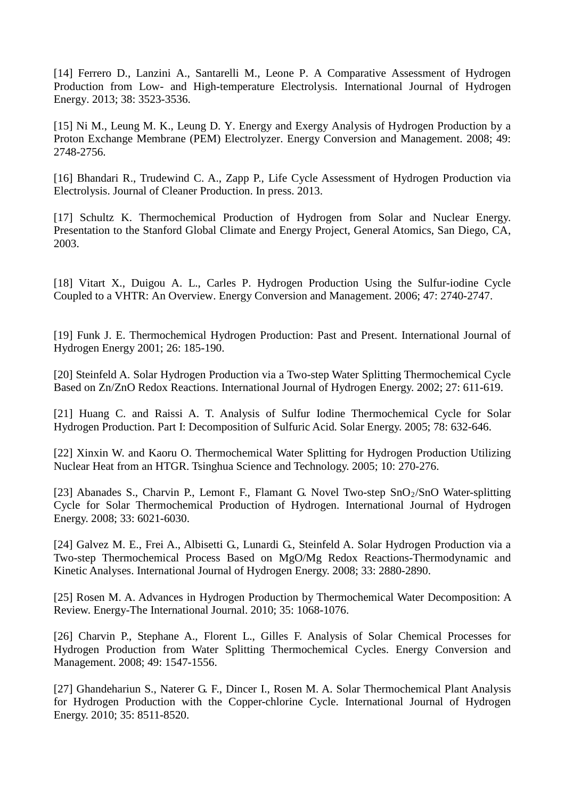[14] Ferrero D., Lanzini A., Santarelli M., Leone P. A Comparative Assessment of Hydrogen Production from Low- and High-temperature Electrolysis. International Journal of Hydrogen Energy. 2013; 38: 3523-3536.

[15] Ni M., Leung M. K., Leung D. Y. Energy and Exergy Analysis of Hydrogen Production by a Proton Exchange Membrane (PEM) Electrolyzer. Energy Conversion and Management. 2008; 49: 2748-2756.

[16] Bhandari R., Trudewind C. A., Zapp P., Life Cycle Assessment of Hydrogen Production via Electrolysis. Journal of Cleaner Production. In press. 2013.

[17] Schultz K. Thermochemical Production of Hydrogen from Solar and Nuclear Energy. Presentation to the Stanford Global Climate and Energy Project, General Atomics, San Diego, CA, 2003.

[18] Vitart X., Duigou A. L., Carles P. Hydrogen Production Using the Sulfur-iodine Cycle Coupled to a VHTR: An Overview. Energy Conversion and Management. 2006; 47: 2740-2747.

[19] Funk J. E. Thermochemical Hydrogen Production: Past and Present. International Journal of Hydrogen Energy 2001; 26: 185-190.

[20] Steinfeld A. Solar Hydrogen Production via a Two-step Water Splitting Thermochemical Cycle Based on Zn/ZnO Redox Reactions. International Journal of Hydrogen Energy. 2002; 27: 611-619.

[21] Huang C. and Raissi A. T. Analysis of Sulfur Iodine Thermochemical Cycle for Solar Hydrogen Production. Part I: Decomposition of Sulfuric Acid*.* Solar Energy. 2005; 78: 632-646.

[22] Xinxin W. and Kaoru O. Thermochemical Water Splitting for Hydrogen Production Utilizing Nuclear Heat from an HTGR. Tsinghua Science and Technology. 2005; 10: 270-276.

[23] Abanades S., Charvin P., Lemont F., Flamant G. Novel Two-step SnO<sub>2</sub>/SnO Water-splitting Cycle for Solar Thermochemical Production of Hydrogen. International Journal of Hydrogen Energy. 2008; 33: 6021-6030.

[24] Galvez M. E., Frei A., Albisetti G., Lunardi G., Steinfeld A. Solar Hydrogen Production via a Two-step Thermochemical Process Based on MgO/Mg Redox Reactions-Thermodynamic and Kinetic Analyses. International Journal of Hydrogen Energy. 2008; 33: 2880-2890.

[25] Rosen M. A. Advances in Hydrogen Production by Thermochemical Water Decomposition: A Review. Energy-The International Journal. 2010; 35: 1068-1076.

[26] Charvin P., Stephane A., Florent L., Gilles F. Analysis of Solar Chemical Processes for Hydrogen Production from Water Splitting Thermochemical Cycles. Energy Conversion and Management. 2008; 49: 1547-1556.

[27] Ghandehariun S., Naterer G. F., Dincer I., Rosen M. A. Solar Thermochemical Plant Analysis for Hydrogen Production with the Copper-chlorine Cycle. International Journal of Hydrogen Energy. 2010; 35: 8511-8520.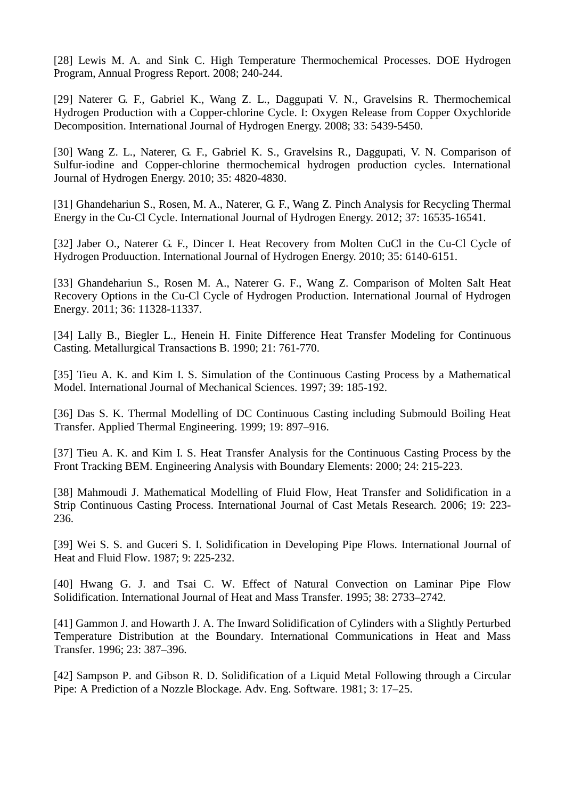[28] Lewis M. A. and Sink C. High Temperature Thermochemical Processes. DOE Hydrogen Program, Annual Progress Report. 2008; 240-244.

[29] Naterer G. F., Gabriel K., Wang Z. L., Daggupati V. N., Gravelsins R. Thermochemical Hydrogen Production with a Copper-chlorine Cycle. I: Oxygen Release from Copper Oxychloride Decomposition. International Journal of Hydrogen Energy. 2008; 33: 5439-5450.

[30] Wang Z. L., Naterer, G. F., Gabriel K. S., Gravelsins R., Daggupati, V. N. Comparison of Sulfur-iodine and Copper-chlorine thermochemical hydrogen production cycles. International Journal of Hydrogen Energy. 2010; 35: 4820-4830.

[31] Ghandehariun S., Rosen, M. A., Naterer, G. F., Wang Z. Pinch Analysis for Recycling Thermal Energy in the Cu-Cl Cycle. International Journal of Hydrogen Energy. 2012; 37: 16535-16541.

[32] Jaber O., Naterer G. F., Dincer I. Heat Recovery from Molten CuCl in the Cu-Cl Cycle of Hydrogen Produuction. International Journal of Hydrogen Energy. 2010; 35: 6140-6151.

[33] Ghandehariun S., Rosen M. A., Naterer G. F., Wang Z. [Comparison of Molten Salt Heat](http://faculty.uoit.ca/naterer/papers.html#mc3)  [Recovery Options in the Cu-Cl Cycle of Hydrogen Production.](http://faculty.uoit.ca/naterer/papers.html#mc3) International Journal of Hydrogen Energy. 2011; 36: 11328-11337.

[34] Lally B., Biegler L., Henein H. Finite Difference Heat Transfer Modeling for Continuous Casting. Metallurgical Transactions B. 1990; 21: 761-770.

[35] Tieu A. K. and Kim I. S. Simulation of the Continuous Casting Process by a Mathematical Model. International Journal of Mechanical Sciences. 1997; 39: 185-192.

[36] Das S. K. Thermal Modelling of DC Continuous Casting including Submould Boiling Heat Transfer. Applied Thermal Engineering. 1999; 19: 897–916.

[37] Tieu A. K. and Kim I. S. Heat Transfer Analysis for the Continuous Casting Process by the Front Tracking BEM. Engineering Analysis with Boundary Elements: 2000; 24: 215-223.

[38] Mahmoudi J. Mathematical Modelling of Fluid Flow, Heat Transfer and Solidification in a Strip Continuous Casting Process. International Journal of Cast Metals Research. 2006; 19: 223- 236.

[39] Wei S. S. and Guceri S. I. Solidification in Developing Pipe Flows. International Journal of Heat and Fluid Flow. 1987; 9: 225-232.

[40] Hwang G. J. and Tsai C. W. Effect of Natural Convection on Laminar Pipe Flow Solidification. International Journal of Heat and Mass Transfer. 1995; 38: 2733–2742.

[41] Gammon J. and Howarth J. A. The Inward Solidification of Cylinders with a Slightly Perturbed Temperature Distribution at the Boundary. International Communications in Heat and Mass Transfer. 1996; 23: 387–396.

[42] Sampson P. and Gibson R. D. Solidification of a Liquid Metal Following through a Circular Pipe: A Prediction of a Nozzle Blockage. Adv. Eng. Software. 1981; 3: 17–25.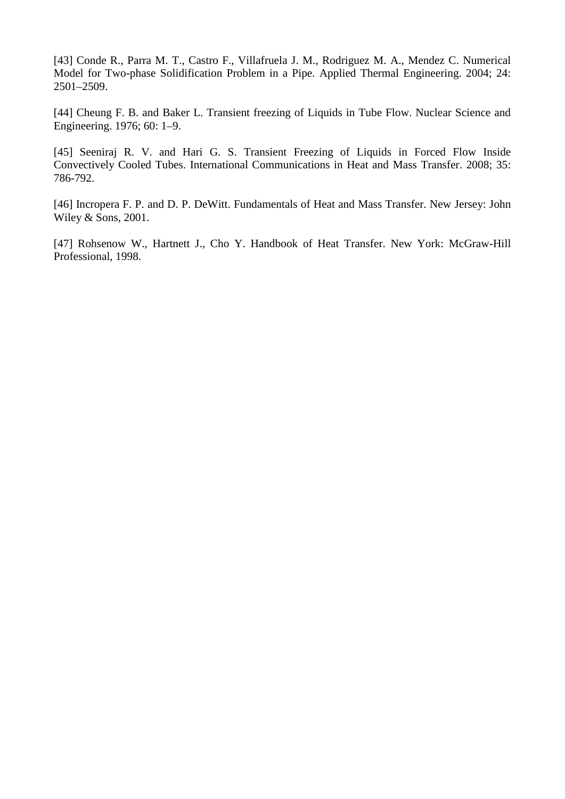[43] Conde R., Parra M. T., Castro F., Villafruela J. M., Rodriguez M. A., Mendez C. Numerical Model for Two-phase Solidification Problem in a Pipe. Applied Thermal Engineering. 2004; 24: 2501–2509.

[44] Cheung F. B. and Baker L. Transient freezing of Liquids in Tube Flow. Nuclear Science and Engineering. 1976; 60: 1–9.

[45] Seeniraj R. V. and Hari G. S. Transient Freezing of Liquids in Forced Flow Inside Convectively Cooled Tubes. International Communications in Heat and Mass Transfer. 2008; 35: 786-792.

[46] Incropera F. P. and D. P. DeWitt. Fundamentals of Heat and Mass Transfer. New Jersey: John Wiley & Sons, 2001.

[47] Rohsenow W., Hartnett J., Cho Y. Handbook of Heat Transfer. New York: McGraw-Hill Professional, 1998.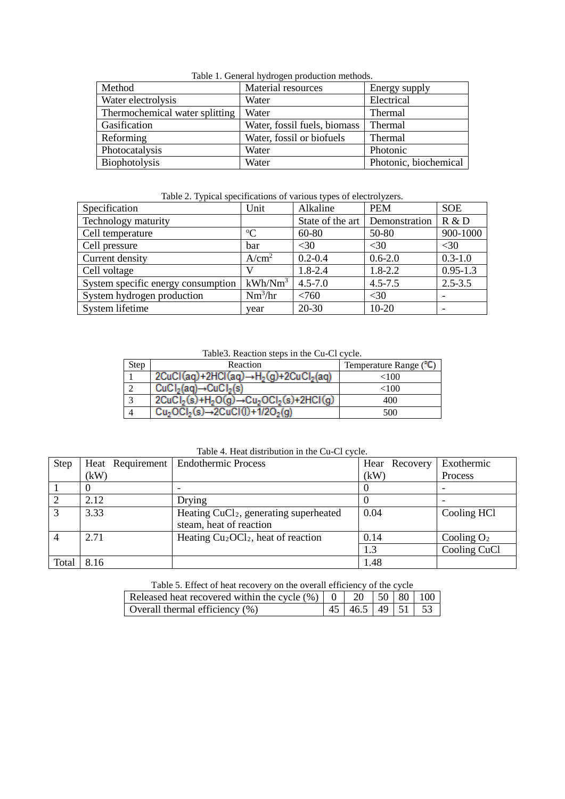| raone 1. Ceneral hydrogen production methods.<br>Method | Energy supply                      |                       |
|---------------------------------------------------------|------------------------------------|-----------------------|
| Water electrolysis                                      | <b>Material resources</b><br>Water | Electrical            |
| Thermochemical water splitting                          | Water                              | Thermal               |
| Gasification                                            | Water, fossil fuels, biomass       | Thermal               |
| Reforming                                               | Water, fossil or biofuels          | Thermal               |
| Photocatalysis                                          | Water                              | Photonic              |
| Biophotolysis                                           | Water                              | Photonic, biochemical |

Table 1. General hydrogen production methods.

Table 2. Typical specifications of various types of electrolyzers.

| Specification                      | Unit                | Alkaline         | <b>PEM</b>    | <b>SOE</b>   |
|------------------------------------|---------------------|------------------|---------------|--------------|
| Technology maturity                |                     | State of the art | Demonstration | R & D        |
| Cell temperature                   | $\rm ^{o}C$         | 60-80            | 50-80         | 900-1000     |
| Cell pressure                      | bar                 | <30              | $<$ 30        | $<$ 30       |
| Current density                    | A/cm <sup>2</sup>   | $0.2 - 0.4$      | $0.6 - 2.0$   | $0.3 - 1.0$  |
| Cell voltage                       |                     | $1.8 - 2.4$      | $1.8 - 2.2$   | $0.95 - 1.3$ |
| System specific energy consumption | kWh/Nm <sup>3</sup> | $4.5 - 7.0$      | $4.5 - 7.5$   | $2.5 - 3.5$  |
| System hydrogen production         | $Nm^3/hr$           | < 760            | $<$ 30        |              |
| System lifetime                    | year                | $20 - 30$        | $10 - 20$     |              |

Table3. Reaction steps in the Cu-Cl cycle.

| <b>Step</b> | Reaction                                                | Temperature Range ("C) |  |  |
|-------------|---------------------------------------------------------|------------------------|--|--|
|             | $2CuCl(aq) + 2HCl(aq) \rightarrow H_2(q) + 2CuCl_2(aq)$ | <100                   |  |  |
|             | $CuCl2(aq) \rightarrow CuCl2(s)$                        | ${<}100$               |  |  |
|             | $2CuCl2(s)+H2O(g) \rightarrow Cu2OCI2(s)+2HCl(g)$       | 400                    |  |  |
|             | $Cu2OCI2(s) \rightarrow 2CuCl(1) + 1/2O2(q)$            | 500                    |  |  |

Table 4. Heat distribution in the Cu-Cl cycle.

| <b>Step</b> | Heat Requirement | <b>Endothermic Process</b>                         | Hear Recovery | Exothermic    |
|-------------|------------------|----------------------------------------------------|---------------|---------------|
|             | (kW)             |                                                    | (kW)          | Process       |
|             |                  |                                                    |               |               |
|             | 2.12             | Drying                                             |               |               |
| 3           | 3.33             | Heating CuCl <sub>2</sub> , generating superheated | 0.04          | Cooling HCl   |
|             |                  | steam, heat of reaction                            |               |               |
|             | 2.71             | Heating $Cu2OCl2$ , heat of reaction               | 0.14          | Cooling $O_2$ |
|             |                  |                                                    | 1.3           | Cooling CuCl  |
| Total       | 8.16             |                                                    | 1.48          |               |

Table 5. Effect of heat recovery on the overall efficiency of the cycle

| Released heat recovered within the cycle $(\%)$   0   20   50   80   100 |                                 |  |  |
|--------------------------------------------------------------------------|---------------------------------|--|--|
| Overall thermal efficiency $(\%)$                                        | $\mid$ 45   46.5   49   51   53 |  |  |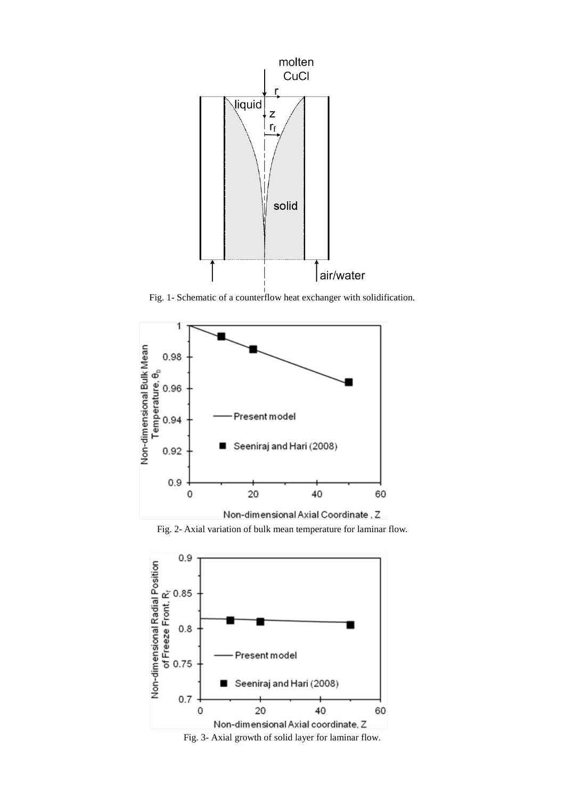

Fig. 1- Schematic of a counterflow heat exchanger with solidification.







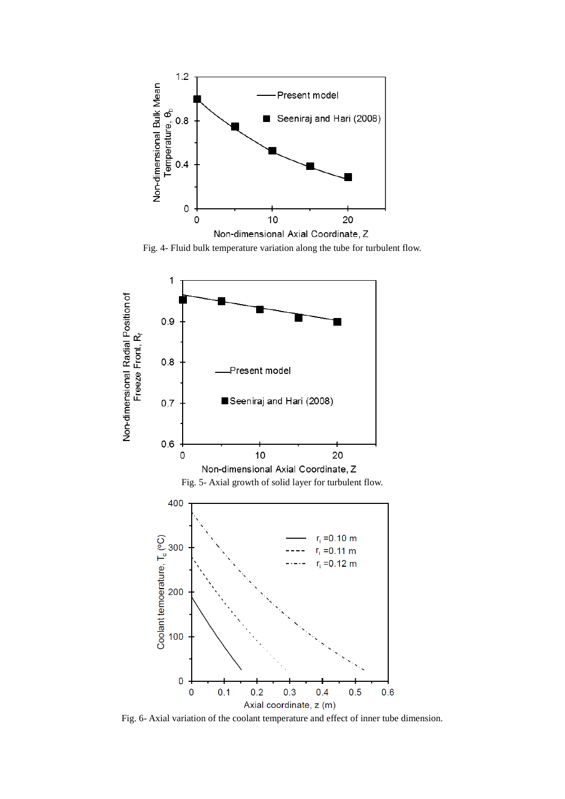

Fig. 4- Fluid bulk temperature variation along the tube for turbulent flow.



Fig. 6- Axial variation of the coolant temperature and effect of inner tube dimension.